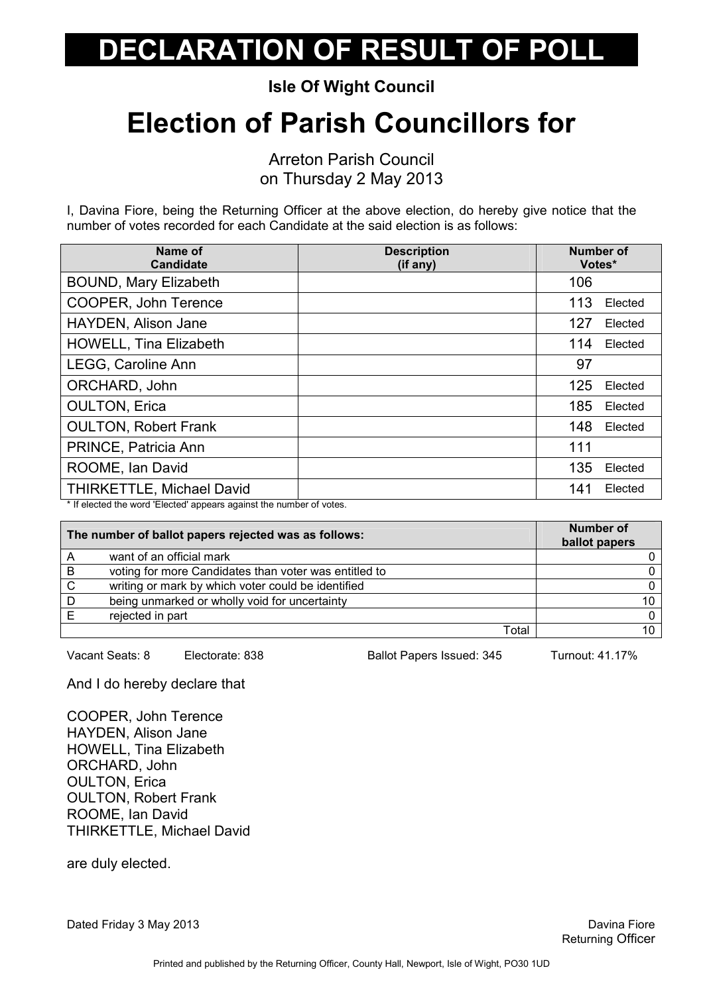Isle Of Wight Council

## Election of Parish Councillors for

Arreton Parish Council on Thursday 2 May 2013

I, Davina Fiore, being the Returning Officer at the above election, do hereby give notice that the number of votes recorded for each Candidate at the said election is as follows:

| Name of<br><b>Candidate</b>      | <b>Description</b><br>(if any) | Number of<br>Votes* |         |
|----------------------------------|--------------------------------|---------------------|---------|
| <b>BOUND, Mary Elizabeth</b>     |                                | 106                 |         |
| COOPER, John Terence             |                                | 113                 | Elected |
| HAYDEN, Alison Jane              |                                | 127                 | Elected |
| <b>HOWELL, Tina Elizabeth</b>    |                                | 114                 | Elected |
| LEGG, Caroline Ann               |                                | 97                  |         |
| ORCHARD, John                    |                                | 125                 | Elected |
| <b>OULTON, Erica</b>             |                                | 185                 | Elected |
| <b>OULTON, Robert Frank</b>      |                                | 148                 | Elected |
| PRINCE, Patricia Ann             |                                | 111                 |         |
| ROOME, Ian David                 |                                | 135                 | Elected |
| <b>THIRKETTLE, Michael David</b> |                                | 141                 | Elected |

\* If elected the word 'Elected' appears against the number of votes.

| The number of ballot papers rejected was as follows: |                                                       | <b>Number of</b><br>ballot papers |
|------------------------------------------------------|-------------------------------------------------------|-----------------------------------|
|                                                      | want of an official mark                              |                                   |
| B                                                    | voting for more Candidates than voter was entitled to |                                   |
| C                                                    | writing or mark by which voter could be identified    |                                   |
| D                                                    | being unmarked or wholly void for uncertainty         |                                   |
|                                                      | rejected in part                                      |                                   |
|                                                      | Total                                                 |                                   |

Vacant Seats: 8 Electorate: 838 Ballot Papers Issued: 345 Turnout: 41.17%

And I do hereby declare that

COOPER, John Terence HAYDEN, Alison Jane HOWELL, Tina Elizabeth ORCHARD, John OULTON, Erica OULTON, Robert Frank ROOME, Ian David THIRKETTLE, Michael David

are duly elected.

Dated Friday 3 May 2013 **David Struck Contract Contract Contract Contract Contract Contract Contract Contract Contract Contract Contract Contract Contract Contract Contract Contract Contract Contract Contract Contract Cont**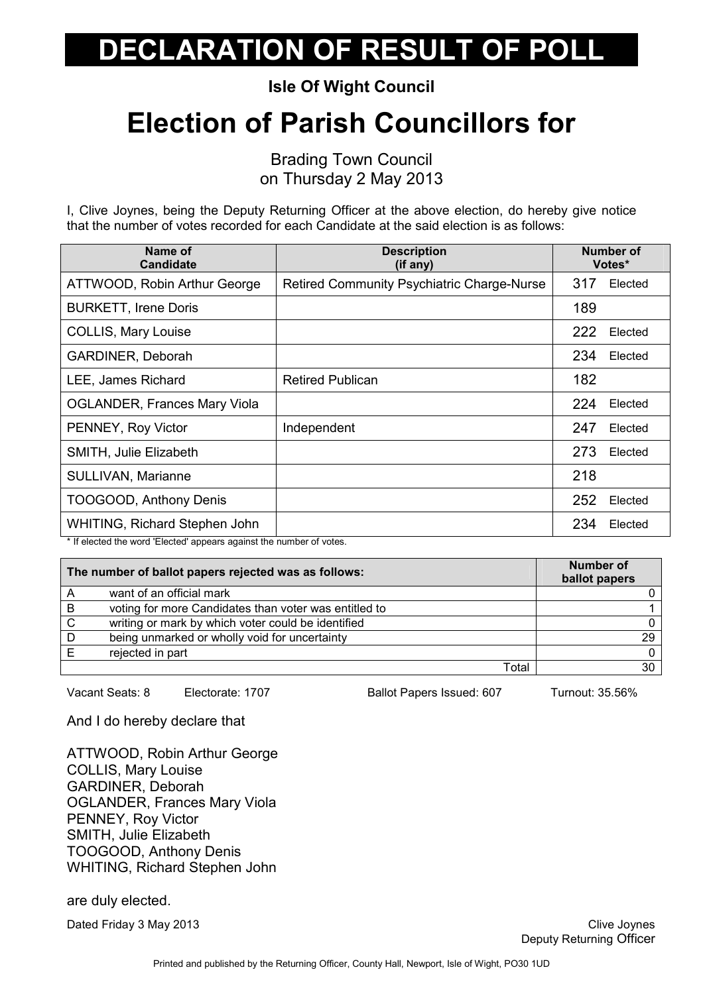Isle Of Wight Council

## Election of Parish Councillors for

Brading Town Council on Thursday 2 May 2013

I, Clive Joynes, being the Deputy Returning Officer at the above election, do hereby give notice that the number of votes recorded for each Candidate at the said election is as follows:

| Name of<br><b>Candidate</b>                                                                            | <b>Description</b><br>(if any)                    | <b>Number of</b><br>Votes* |
|--------------------------------------------------------------------------------------------------------|---------------------------------------------------|----------------------------|
| ATTWOOD, Robin Arthur George                                                                           | <b>Retired Community Psychiatric Charge-Nurse</b> | 317<br>Elected             |
| <b>BURKETT, Irene Doris</b>                                                                            |                                                   | 189                        |
| <b>COLLIS, Mary Louise</b>                                                                             |                                                   | 222<br>Elected             |
| GARDINER, Deborah                                                                                      |                                                   | 234<br>Elected             |
| LEE, James Richard                                                                                     | <b>Retired Publican</b>                           | 182                        |
| <b>OGLANDER, Frances Mary Viola</b>                                                                    |                                                   | 224<br>Elected             |
| PENNEY, Roy Victor                                                                                     | Independent                                       | 247<br>Elected             |
| SMITH, Julie Elizabeth                                                                                 |                                                   | 273<br>Elected             |
| SULLIVAN, Marianne                                                                                     |                                                   | 218                        |
| TOOGOOD, Anthony Denis                                                                                 |                                                   | 252<br>Elected             |
| WHITING, Richard Stephen John<br>$\mathbf{r}$ , $\mathbf{r}$ , $\mathbf{r}$ , $\mathbf{r}$<br>$\cdots$ |                                                   | 234<br>Elected             |

\* If elected the word 'Elected' appears against the number of votes.

| The number of ballot papers rejected was as follows: |                                                       | <b>Number of</b><br>ballot papers |
|------------------------------------------------------|-------------------------------------------------------|-----------------------------------|
|                                                      | want of an official mark                              |                                   |
| $\overline{B}$                                       | voting for more Candidates than voter was entitled to |                                   |
| C                                                    | writing or mark by which voter could be identified    |                                   |
| D                                                    | being unmarked or wholly void for uncertainty         | 29                                |
|                                                      | rejected in part                                      |                                   |
|                                                      | Total                                                 | 30                                |

Vacant Seats: 8 Electorate: 1707 Ballot Papers Issued: 607 Turnout: 35.56%

And I do hereby declare that

ATTWOOD, Robin Arthur George COLLIS, Mary Louise GARDINER, Deborah OGLANDER, Frances Mary Viola PENNEY, Roy Victor SMITH, Julie Elizabeth TOOGOOD, Anthony Denis WHITING, Richard Stephen John

are duly elected.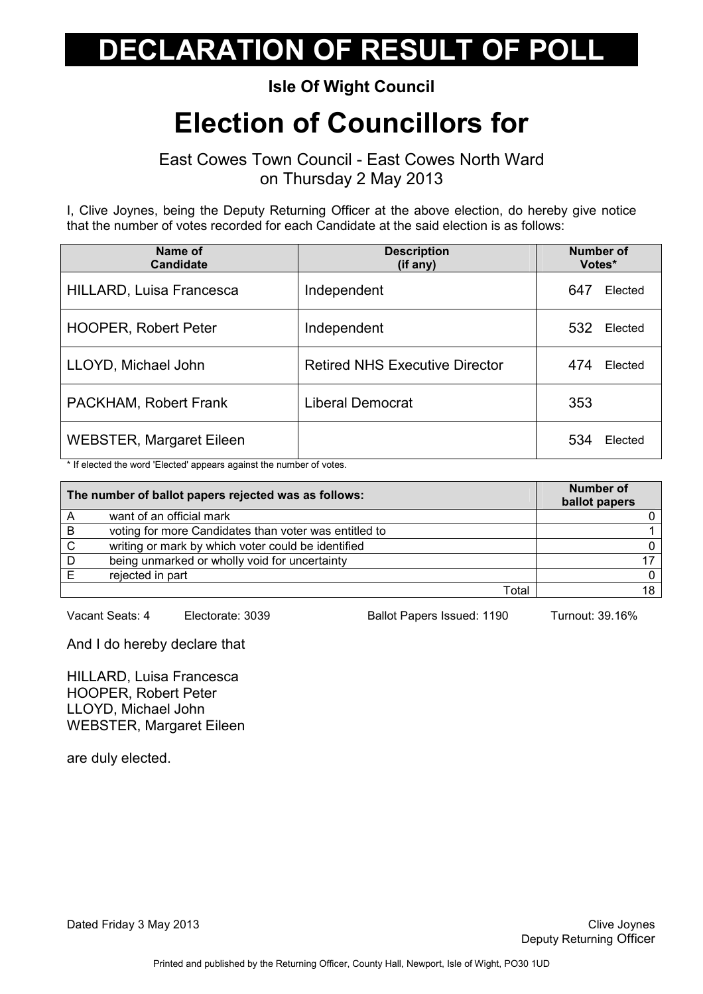#### Isle Of Wight Council

## Election of Councillors for

East Cowes Town Council - East Cowes North Ward on Thursday 2 May 2013

I, Clive Joynes, being the Deputy Returning Officer at the above election, do hereby give notice that the number of votes recorded for each Candidate at the said election is as follows:

| Name of<br><b>Candidate</b>     | <b>Description</b><br>(if any)        | <b>Number of</b><br>Votes* |
|---------------------------------|---------------------------------------|----------------------------|
| <b>HILLARD, Luisa Francesca</b> | Independent                           | 647<br>Elected             |
| <b>HOOPER, Robert Peter</b>     | Independent                           | 532<br>Elected             |
| LLOYD, Michael John             | <b>Retired NHS Executive Director</b> | 474<br>Elected             |
| PACKHAM, Robert Frank           | <b>Liberal Democrat</b>               | 353                        |
| <b>WEBSTER, Margaret Eileen</b> |                                       | 534<br>Elected             |

\* If elected the word 'Elected' appears against the number of votes.

| The number of ballot papers rejected was as follows: |                                                       | <b>Number of</b><br>ballot papers |
|------------------------------------------------------|-------------------------------------------------------|-----------------------------------|
|                                                      | want of an official mark                              |                                   |
| B                                                    | voting for more Candidates than voter was entitled to |                                   |
| C                                                    | writing or mark by which voter could be identified    |                                   |
| D                                                    | being unmarked or wholly void for uncertainty         |                                   |
|                                                      | rejected in part                                      |                                   |
|                                                      | Total                                                 |                                   |

Vacant Seats: 4 Electorate: 3039 Ballot Papers Issued: 1190 Turnout: 39.16%

And I do hereby declare that

HILLARD, Luisa Francesca HOOPER, Robert Peter LLOYD, Michael John WEBSTER, Margaret Eileen

are duly elected.

Dated Friday 3 May 2013 **Clive Joynes** Clive Joynes **Clive Joynes** Clive Joynes **Clive Joynes**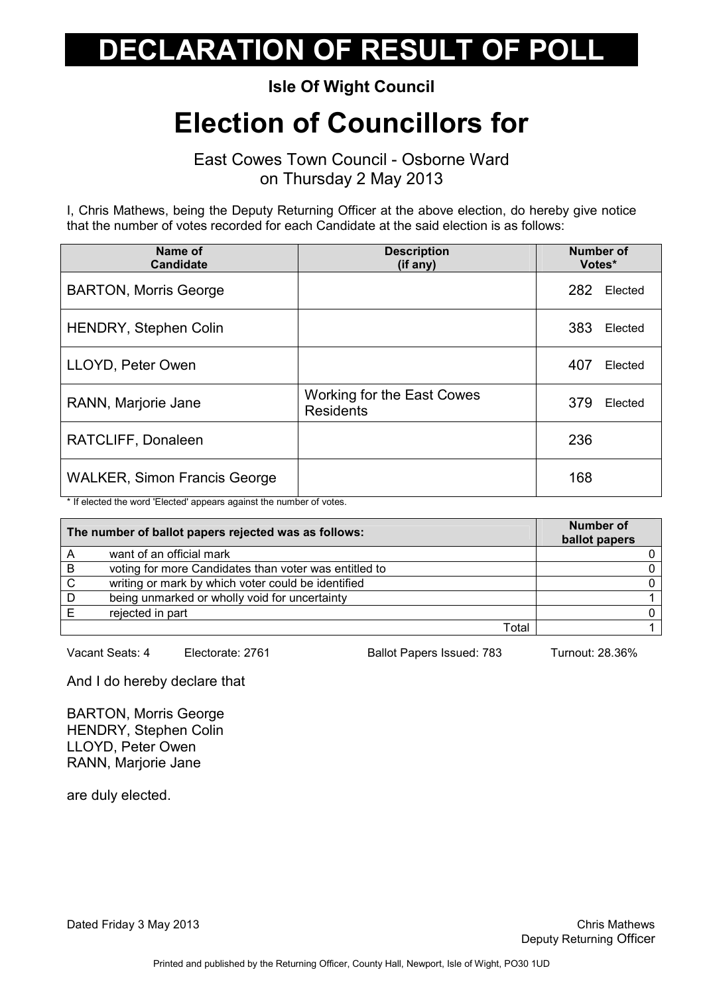Isle Of Wight Council

### Election of Councillors for

East Cowes Town Council - Osborne Ward on Thursday 2 May 2013

I, Chris Mathews, being the Deputy Returning Officer at the above election, do hereby give notice that the number of votes recorded for each Candidate at the said election is as follows:

| Name of<br><b>Candidate</b>         | <b>Description</b><br>(if any)                 | <b>Number of</b><br>Votes* |
|-------------------------------------|------------------------------------------------|----------------------------|
| <b>BARTON, Morris George</b>        |                                                | 282<br>Elected             |
| HENDRY, Stephen Colin               |                                                | 383<br>Elected             |
| LLOYD, Peter Owen                   |                                                | 407<br>Elected             |
| RANN, Marjorie Jane                 | Working for the East Cowes<br><b>Residents</b> | 379<br>Elected             |
| RATCLIFF, Donaleen                  |                                                | 236                        |
| <b>WALKER, Simon Francis George</b> |                                                | 168                        |

\* If elected the word 'Elected' appears against the number of votes.

| The number of ballot papers rejected was as follows: |                                                       | <b>Number of</b><br>ballot papers |
|------------------------------------------------------|-------------------------------------------------------|-----------------------------------|
|                                                      | want of an official mark                              |                                   |
| B                                                    | voting for more Candidates than voter was entitled to |                                   |
| $\mathsf{C}$                                         | writing or mark by which voter could be identified    |                                   |
| D                                                    | being unmarked or wholly void for uncertainty         |                                   |
|                                                      | rejected in part                                      |                                   |
|                                                      | Total                                                 |                                   |

Vacant Seats: 4 Electorate: 2761 Ballot Papers Issued: 783 Turnout: 28.36%

And I do hereby declare that

BARTON, Morris George HENDRY, Stephen Colin LLOYD, Peter Owen RANN, Marjorie Jane

are duly elected.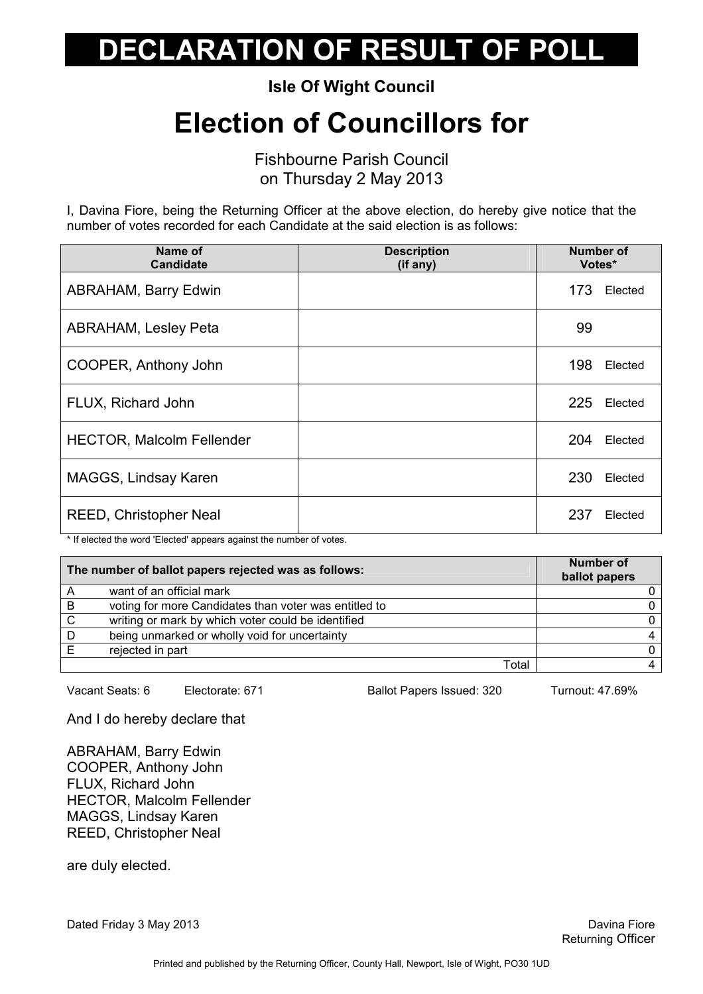Isle Of Wight Council

## Election of Councillors for

Fishbourne Parish Council on Thursday 2 May 2013

I, Davina Fiore, being the Returning Officer at the above election, do hereby give notice that the number of votes recorded for each Candidate at the said election is as follows:

| Name of<br><b>Candidate</b>      | <b>Description</b><br>(if any) | <b>Number of</b><br>Votes* |         |
|----------------------------------|--------------------------------|----------------------------|---------|
| <b>ABRAHAM, Barry Edwin</b>      |                                | 173                        | Elected |
| <b>ABRAHAM, Lesley Peta</b>      |                                | 99                         |         |
| COOPER, Anthony John             |                                | 198                        | Elected |
| FLUX, Richard John               |                                | 225                        | Elected |
| <b>HECTOR, Malcolm Fellender</b> |                                | 204                        | Elected |
| MAGGS, Lindsay Karen             |                                | 230                        | Elected |
| <b>REED, Christopher Neal</b>    |                                | 237                        | Elected |

\* If elected the word 'Elected' appears against the number of votes.

| The number of ballot papers rejected was as follows: |                                                       | <b>Number of</b><br>ballot papers |
|------------------------------------------------------|-------------------------------------------------------|-----------------------------------|
|                                                      | want of an official mark                              |                                   |
| $\overline{B}$                                       | voting for more Candidates than voter was entitled to |                                   |
| C                                                    | writing or mark by which voter could be identified    |                                   |
| D                                                    | being unmarked or wholly void for uncertainty         |                                   |
|                                                      | rejected in part                                      |                                   |
|                                                      | Total                                                 |                                   |

Vacant Seats: 6 Electorate: 671 Ballot Papers Issued: 320 Turnout: 47.69%

And I do hereby declare that

ABRAHAM, Barry Edwin COOPER, Anthony John FLUX, Richard John HECTOR, Malcolm Fellender MAGGS, Lindsay Karen REED, Christopher Neal

are duly elected.

Dated Friday 3 May 2013 **David Struck Contract Contract Contract Contract Contract Contract Contract Contract Contract Contract Contract Contract Contract Contract Contract Contract Contract Contract Contract Contract Cont**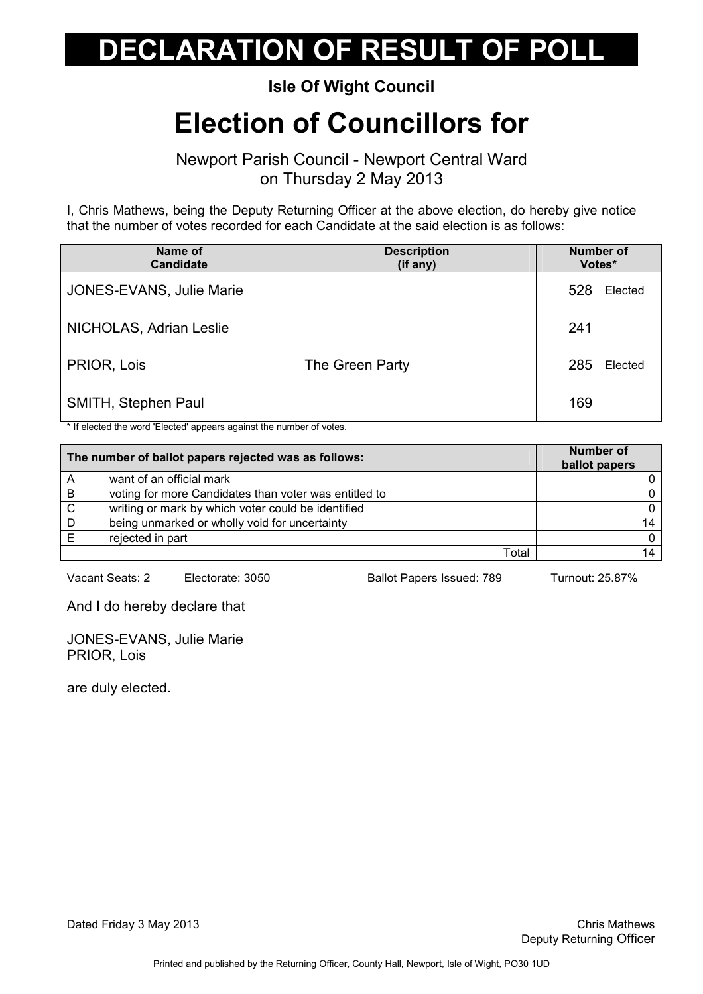#### Isle Of Wight Council

## Election of Councillors for

Newport Parish Council - Newport Central Ward on Thursday 2 May 2013

I, Chris Mathews, being the Deputy Returning Officer at the above election, do hereby give notice that the number of votes recorded for each Candidate at the said election is as follows:

| Name of<br><b>Candidate</b> | <b>Description</b><br>(if any) | <b>Number of</b><br>Votes* |
|-----------------------------|--------------------------------|----------------------------|
| JONES-EVANS, Julie Marie    |                                | 528<br>Elected             |
| NICHOLAS, Adrian Leslie     |                                | 241                        |
| PRIOR, Lois                 | The Green Party                | 285<br>Elected             |
| SMITH, Stephen Paul         |                                | 169                        |

\* If elected the word 'Elected' appears against the number of votes.

| The number of ballot papers rejected was as follows: |                                                       | <b>Number of</b><br>ballot papers |
|------------------------------------------------------|-------------------------------------------------------|-----------------------------------|
|                                                      | want of an official mark                              |                                   |
| B                                                    | voting for more Candidates than voter was entitled to |                                   |
| C                                                    | writing or mark by which voter could be identified    |                                   |
| D                                                    | being unmarked or wholly void for uncertainty         |                                   |
|                                                      | rejected in part                                      |                                   |
|                                                      | Total                                                 |                                   |

Vacant Seats: 2 Electorate: 3050 Ballot Papers Issued: 789 Turnout: 25.87%

And I do hereby declare that

JONES-EVANS, Julie Marie PRIOR, Lois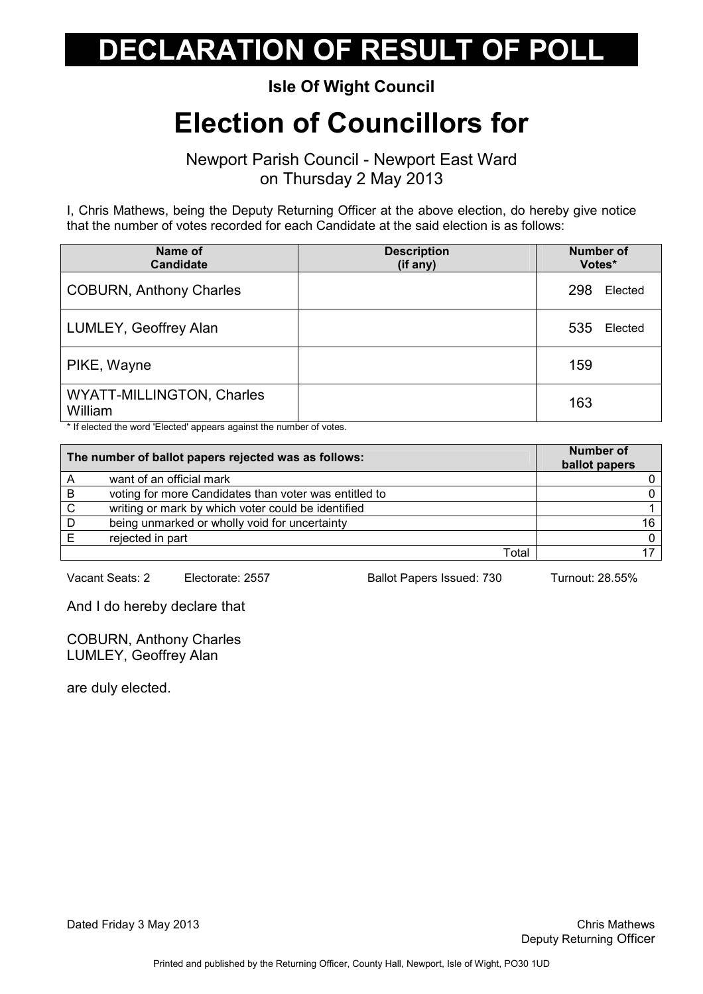#### Isle Of Wight Council

## Election of Councillors for

Newport Parish Council - Newport East Ward on Thursday 2 May 2013

I, Chris Mathews, being the Deputy Returning Officer at the above election, do hereby give notice that the number of votes recorded for each Candidate at the said election is as follows:

| Name of<br><b>Candidate</b>          | <b>Description</b><br>(if any) | <b>Number of</b><br>Votes* |
|--------------------------------------|--------------------------------|----------------------------|
| <b>COBURN, Anthony Charles</b>       |                                | 298<br>Elected             |
| LUMLEY, Geoffrey Alan                |                                | 535<br>Elected             |
| PIKE, Wayne                          |                                | 159                        |
| WYATT-MILLINGTON, Charles<br>William |                                | 163                        |

\* If elected the word 'Elected' appears against the number of votes.

|   | The number of ballot papers rejected was as follows:  | Number of<br>ballot papers |
|---|-------------------------------------------------------|----------------------------|
|   | want of an official mark                              |                            |
| B | voting for more Candidates than voter was entitled to |                            |
| C | writing or mark by which voter could be identified    |                            |
| D | being unmarked or wholly void for uncertainty         | 16                         |
|   | rejected in part                                      |                            |
|   | Totai                                                 |                            |

Vacant Seats: 2 Electorate: 2557 Ballot Papers Issued: 730 Turnout: 28.55%

And I do hereby declare that

COBURN, Anthony Charles LUMLEY, Geoffrey Alan

are duly elected.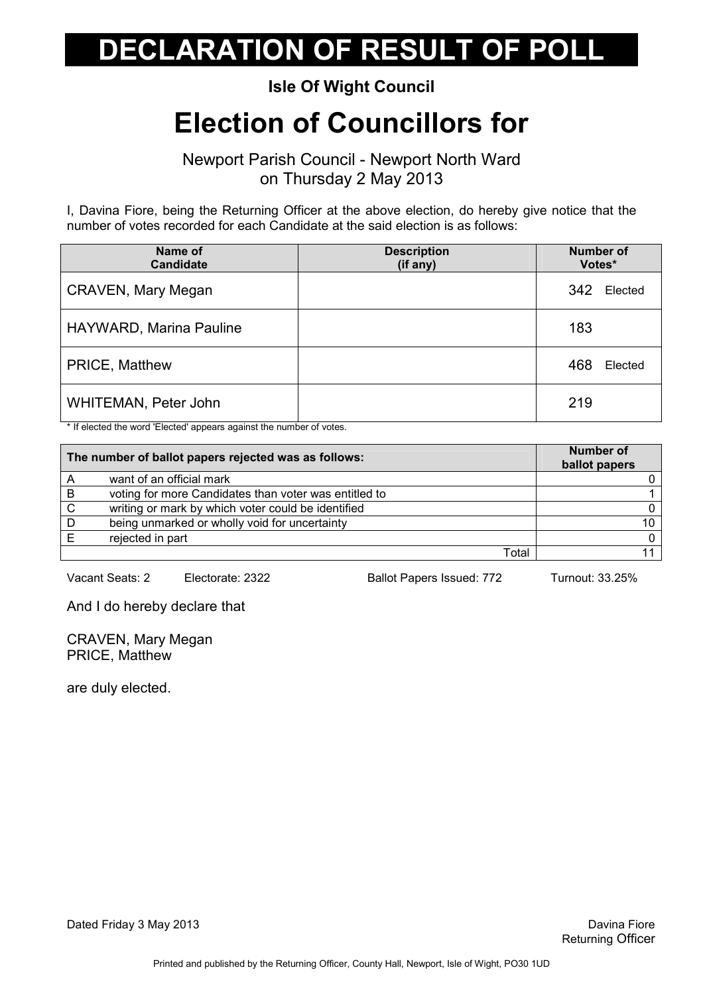#### Isle Of Wight Council

### Election of Councillors for

Newport Parish Council - Newport North Ward on Thursday 2 May 2013

I, Davina Fiore, being the Returning Officer at the above election, do hereby give notice that the number of votes recorded for each Candidate at the said election is as follows:

| Name of<br><b>Candidate</b> | <b>Description</b><br>(if any) | <b>Number of</b><br>Votes* |
|-----------------------------|--------------------------------|----------------------------|
| <b>CRAVEN, Mary Megan</b>   |                                | 342<br>Elected             |
| HAYWARD, Marina Pauline     |                                | 183                        |
| PRICE, Matthew              |                                | 468<br>Elected             |
| WHITEMAN, Peter John        |                                | 219                        |

\* If elected the word 'Elected' appears against the number of votes.

| The number of ballot papers rejected was as follows: |                                                       | <b>Number of</b><br>ballot papers |
|------------------------------------------------------|-------------------------------------------------------|-----------------------------------|
|                                                      | want of an official mark                              |                                   |
| B                                                    | voting for more Candidates than voter was entitled to |                                   |
| C                                                    | writing or mark by which voter could be identified    |                                   |
| D                                                    | being unmarked or wholly void for uncertainty         | 10                                |
|                                                      | rejected in part                                      | $\Omega$                          |
|                                                      | Total                                                 |                                   |

Vacant Seats: 2 Electorate: 2322 Ballot Papers Issued: 772 Turnout: 33.25%

And I do hereby declare that

CRAVEN, Mary Megan PRICE, Matthew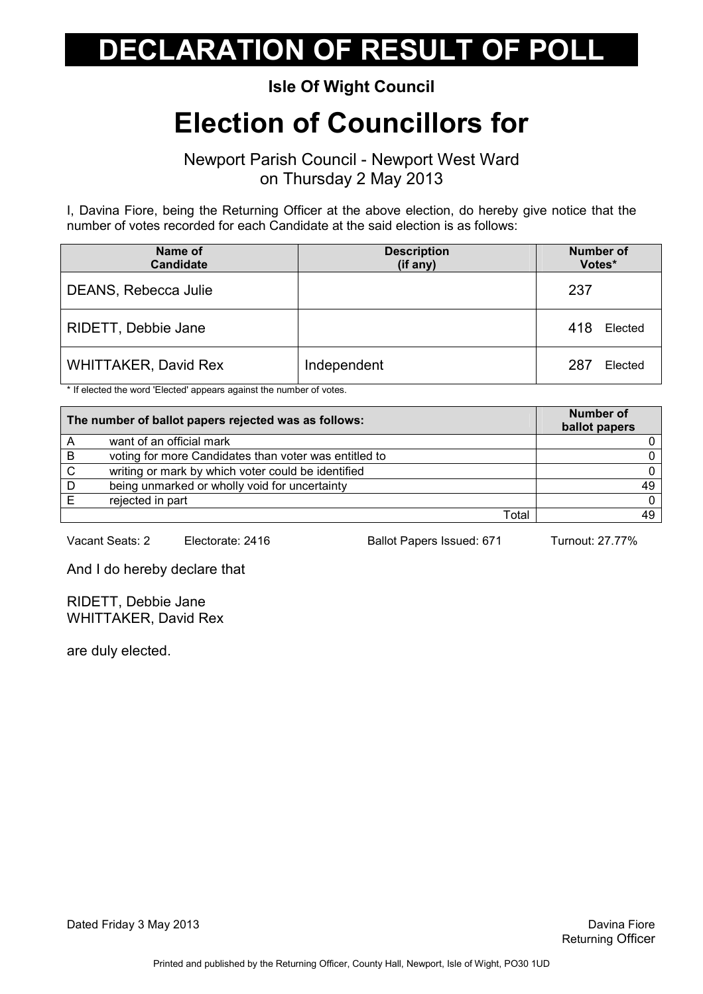#### Isle Of Wight Council

### Election of Councillors for

Newport Parish Council - Newport West Ward on Thursday 2 May 2013

I, Davina Fiore, being the Returning Officer at the above election, do hereby give notice that the number of votes recorded for each Candidate at the said election is as follows:

| Name of<br><b>Candidate</b> | <b>Description</b><br>(if any) | <b>Number of</b><br>Votes* |
|-----------------------------|--------------------------------|----------------------------|
| DEANS, Rebecca Julie        |                                | 237                        |
| RIDETT, Debbie Jane         |                                | 418<br>Elected             |
| <b>WHITTAKER, David Rex</b> | Independent                    | 287<br>Elected             |

\* If elected the word 'Elected' appears against the number of votes.

| The number of ballot papers rejected was as follows: |                                                       | <b>Number of</b><br>ballot papers |
|------------------------------------------------------|-------------------------------------------------------|-----------------------------------|
| A                                                    | want of an official mark                              |                                   |
| B                                                    | voting for more Candidates than voter was entitled to |                                   |
| C.                                                   | writing or mark by which voter could be identified    |                                   |
| D                                                    | being unmarked or wholly void for uncertainty         | 49                                |
|                                                      | rejected in part                                      |                                   |
|                                                      | Total                                                 |                                   |

Vacant Seats: 2 Electorate: 2416 Ballot Papers Issued: 671 Turnout: 27.77%

And I do hereby declare that

RIDETT, Debbie Jane WHITTAKER, David Rex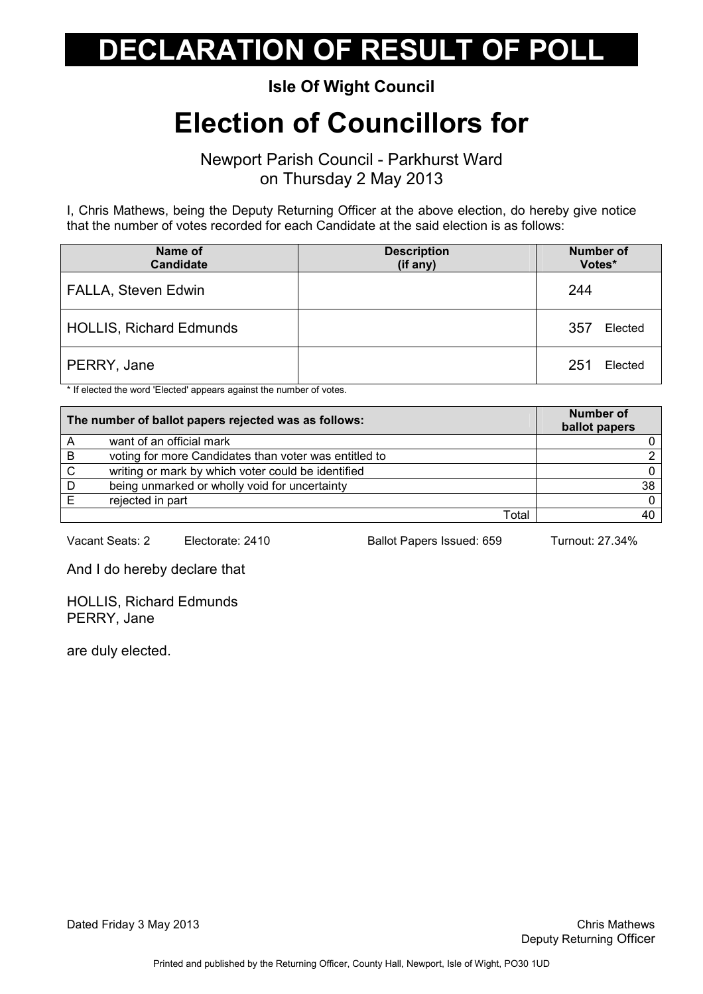#### Isle Of Wight Council

## Election of Councillors for

Newport Parish Council - Parkhurst Ward on Thursday 2 May 2013

I, Chris Mathews, being the Deputy Returning Officer at the above election, do hereby give notice that the number of votes recorded for each Candidate at the said election is as follows:

| Name of<br><b>Candidate</b>    | <b>Description</b><br>(if any) | <b>Number of</b><br>Votes* |
|--------------------------------|--------------------------------|----------------------------|
| FALLA, Steven Edwin            |                                | 244                        |
| <b>HOLLIS, Richard Edmunds</b> |                                | 357<br>Elected             |
| PERRY, Jane                    |                                | 251<br>Elected             |

\* If elected the word 'Elected' appears against the number of votes.

| The number of ballot papers rejected was as follows: |                                                       | <b>Number of</b><br>ballot papers |
|------------------------------------------------------|-------------------------------------------------------|-----------------------------------|
|                                                      | want of an official mark                              |                                   |
| B                                                    | voting for more Candidates than voter was entitled to |                                   |
| C                                                    | writing or mark by which voter could be identified    |                                   |
| D                                                    | being unmarked or wholly void for uncertainty         | 38                                |
|                                                      | rejected in part                                      |                                   |
|                                                      | Total                                                 |                                   |

Vacant Seats: 2 Electorate: 2410 Ballot Papers Issued: 659 Turnout: 27.34%

And I do hereby declare that

HOLLIS, Richard Edmunds PERRY, Jane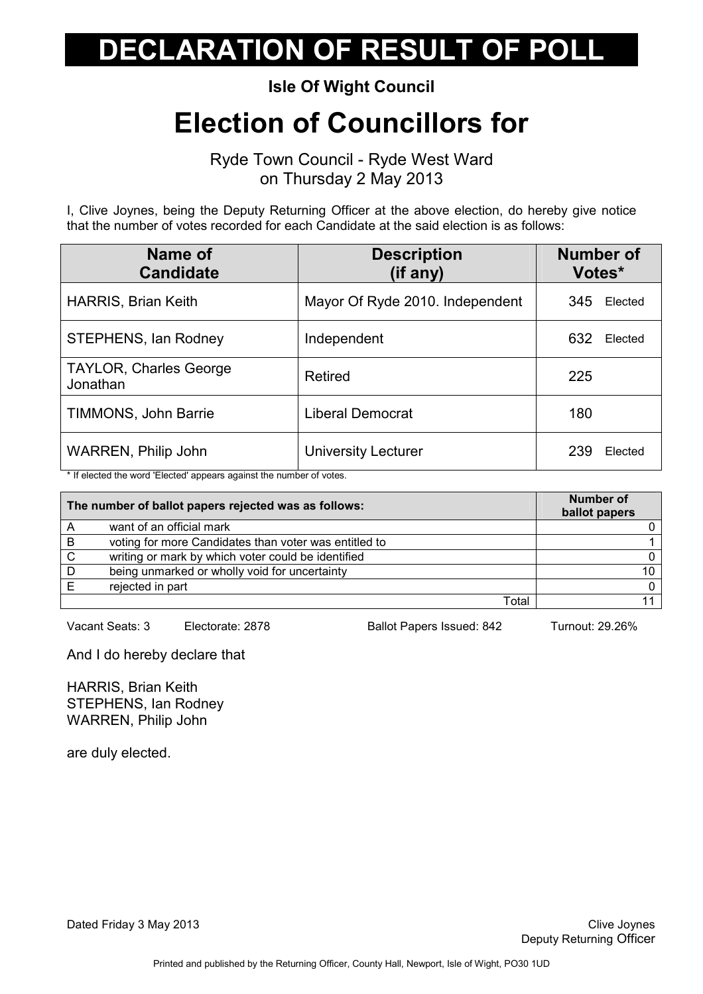Isle Of Wight Council

### Election of Councillors for

Ryde Town Council - Ryde West Ward on Thursday 2 May 2013

I, Clive Joynes, being the Deputy Returning Officer at the above election, do hereby give notice that the number of votes recorded for each Candidate at the said election is as follows:

| Name of<br><b>Candidate</b>               | <b>Description</b><br>(if any)  | <b>Number of</b><br>Votes* |
|-------------------------------------------|---------------------------------|----------------------------|
| <b>HARRIS, Brian Keith</b>                | Mayor Of Ryde 2010. Independent | Elected<br>345             |
| STEPHENS, Ian Rodney                      | Independent                     | 632<br>Elected             |
| <b>TAYLOR, Charles George</b><br>Jonathan | Retired                         | 225                        |
| TIMMONS, John Barrie                      | Liberal Democrat                | 180                        |
| <b>WARREN, Philip John</b>                | <b>University Lecturer</b>      | 239<br>Elected             |

\* If elected the word 'Elected' appears against the number of votes.

| The number of ballot papers rejected was as follows: |                                                       | <b>Number of</b><br>ballot papers |
|------------------------------------------------------|-------------------------------------------------------|-----------------------------------|
| Α                                                    | want of an official mark                              |                                   |
| B                                                    | voting for more Candidates than voter was entitled to |                                   |
| C                                                    | writing or mark by which voter could be identified    |                                   |
| D                                                    | being unmarked or wholly void for uncertainty         | 10                                |
|                                                      | rejected in part                                      |                                   |
|                                                      | Total                                                 |                                   |

Vacant Seats: 3 Electorate: 2878 Ballot Papers Issued: 842 Turnout: 29.26%

And I do hereby declare that

HARRIS, Brian Keith STEPHENS, Ian Rodney WARREN, Philip John

are duly elected.

Dated Friday 3 May 2013 **Clive Joynes** Clive Joynes **Clive Joynes** Clive Joynes **Clive Joynes**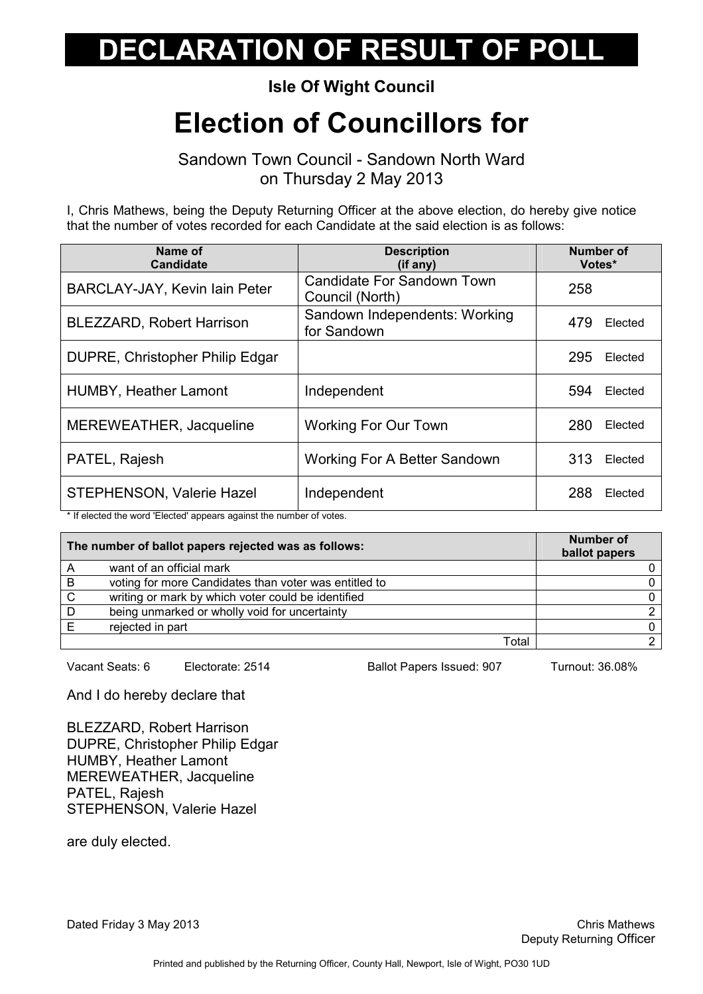#### Isle Of Wight Council

### Election of Councillors for

Sandown Town Council - Sandown North Ward on Thursday 2 May 2013

I, Chris Mathews, being the Deputy Returning Officer at the above election, do hereby give notice that the number of votes recorded for each Candidate at the said election is as follows:

| Name of<br><b>Candidate</b>                                                                                                                                                                                                                                    | <b>Description</b><br>(if any)                | <b>Number of</b><br>Votes* |
|----------------------------------------------------------------------------------------------------------------------------------------------------------------------------------------------------------------------------------------------------------------|-----------------------------------------------|----------------------------|
| BARCLAY-JAY, Kevin Iain Peter                                                                                                                                                                                                                                  | Candidate For Sandown Town<br>Council (North) | 258                        |
| <b>BLEZZARD, Robert Harrison</b>                                                                                                                                                                                                                               | Sandown Independents: Working<br>for Sandown  | 479<br>Elected             |
| <b>DUPRE, Christopher Philip Edgar</b>                                                                                                                                                                                                                         |                                               | 295<br>Elected             |
| <b>HUMBY, Heather Lamont</b>                                                                                                                                                                                                                                   | Independent                                   | 594<br>Elected             |
| MEREWEATHER, Jacqueline                                                                                                                                                                                                                                        | <b>Working For Our Town</b>                   | 280<br>Elected             |
| PATEL, Rajesh                                                                                                                                                                                                                                                  | <b>Working For A Better Sandown</b>           | 313<br>Elected             |
| STEPHENSON, Valerie Hazel<br>$\frac{1}{2}$ . The contract of the contract of the contract of the contract of the contract of the contract of the contract of the contract of the contract of the contract of the contract of the contract of the contract of t | Independent                                   | 288<br>Elected             |

If elected the word 'Elected' appears against the number of votes.

| The number of ballot papers rejected was as follows: |                                                       | Number of<br>ballot papers |
|------------------------------------------------------|-------------------------------------------------------|----------------------------|
| Α                                                    | want of an official mark                              |                            |
| B                                                    | voting for more Candidates than voter was entitled to |                            |
| C                                                    | writing or mark by which voter could be identified    |                            |
| D                                                    | being unmarked or wholly void for uncertainty         |                            |
|                                                      | rejected in part                                      |                            |
|                                                      | Total                                                 |                            |

Vacant Seats: 6 Electorate: 2514 Ballot Papers Issued: 907 Turnout: 36.08%

And I do hereby declare that

BLEZZARD, Robert Harrison DUPRE, Christopher Philip Edgar HUMBY, Heather Lamont MEREWEATHER, Jacqueline PATEL, Rajesh STEPHENSON, Valerie Hazel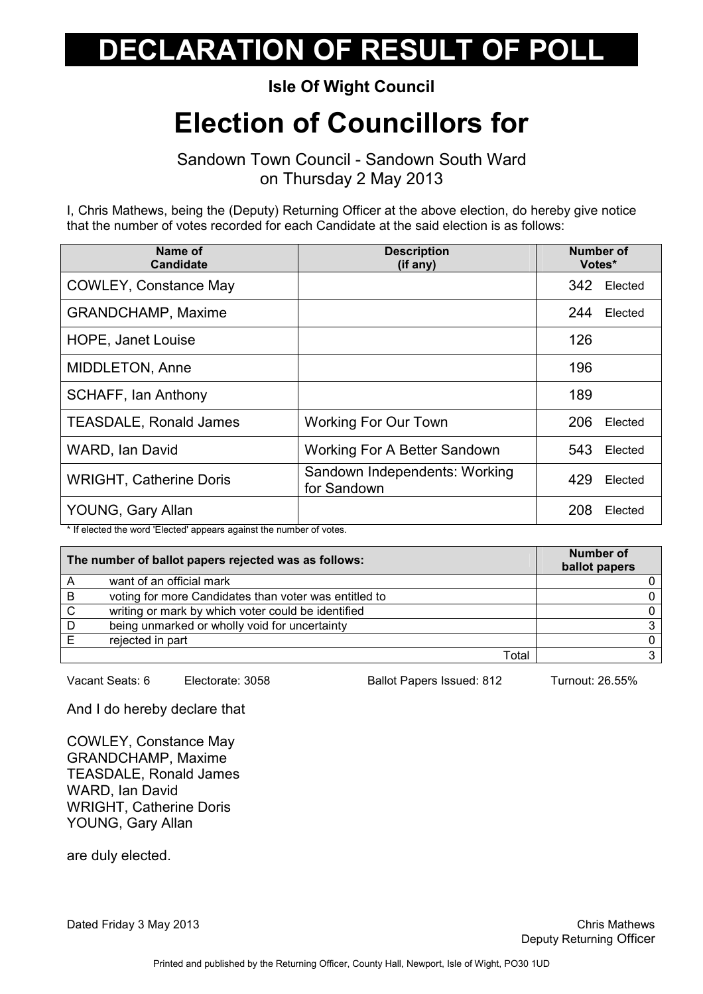Isle Of Wight Council

## Election of Councillors for

Sandown Town Council - Sandown South Ward on Thursday 2 May 2013

I, Chris Mathews, being the (Deputy) Returning Officer at the above election, do hereby give notice that the number of votes recorded for each Candidate at the said election is as follows:

| Name of<br><b>Candidate</b>    | <b>Description</b><br>(if any)               | Number of<br>Votes* |
|--------------------------------|----------------------------------------------|---------------------|
| <b>COWLEY, Constance May</b>   |                                              | 342<br>Elected      |
| <b>GRANDCHAMP, Maxime</b>      |                                              | 244<br>Elected      |
| <b>HOPE, Janet Louise</b>      |                                              | 126                 |
| <b>MIDDLETON, Anne</b>         |                                              | 196                 |
| <b>SCHAFF, Ian Anthony</b>     |                                              | 189                 |
| <b>TEASDALE, Ronald James</b>  | <b>Working For Our Town</b>                  | 206<br>Elected      |
| <b>WARD, Ian David</b>         | <b>Working For A Better Sandown</b>          | 543<br>Elected      |
| <b>WRIGHT, Catherine Doris</b> | Sandown Independents: Working<br>for Sandown | 429<br>Elected      |
| YOUNG, Gary Allan              |                                              | 208<br>Elected      |

\* If elected the word 'Elected' appears against the number of votes.

| The number of ballot papers rejected was as follows: |                                                       | <b>Number of</b><br>ballot papers |
|------------------------------------------------------|-------------------------------------------------------|-----------------------------------|
| A                                                    | want of an official mark                              |                                   |
| B                                                    | voting for more Candidates than voter was entitled to |                                   |
| C                                                    | writing or mark by which voter could be identified    |                                   |
| D                                                    | being unmarked or wholly void for uncertainty         |                                   |
|                                                      | rejected in part                                      |                                   |
|                                                      | Total                                                 |                                   |

Vacant Seats: 6 Electorate: 3058 Ballot Papers Issued: 812 Turnout: 26.55%

And I do hereby declare that

COWLEY, Constance May GRANDCHAMP, Maxime TEASDALE, Ronald James WARD, Ian David WRIGHT, Catherine Doris YOUNG, Gary Allan

are duly elected.